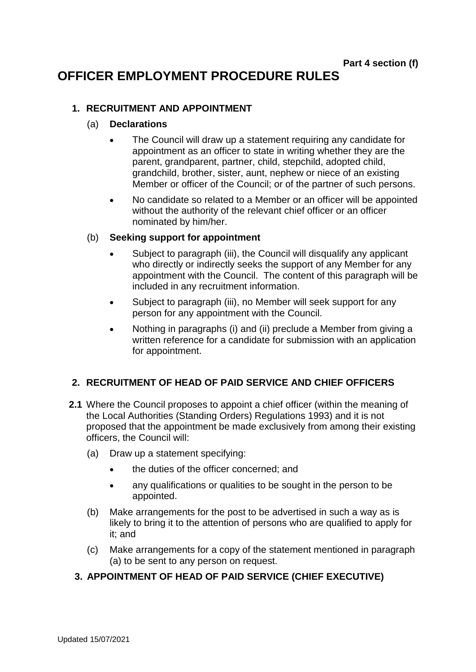# **OFFICER EMPLOYMENT PROCEDURE RULES**

#### **1. RECRUITMENT AND APPOINTMENT**

#### (a) **Declarations**

- The Council will draw up a statement requiring any candidate for appointment as an officer to state in writing whether they are the parent, grandparent, partner, child, stepchild, adopted child, grandchild, brother, sister, aunt, nephew or niece of an existing Member or officer of the Council; or of the partner of such persons.
- No candidate so related to a Member or an officer will be appointed without the authority of the relevant chief officer or an officer nominated by him/her.

#### (b) **Seeking support for appointment**

- Subject to paragraph (iii), the Council will disqualify any applicant who directly or indirectly seeks the support of any Member for any appointment with the Council. The content of this paragraph will be included in any recruitment information.
- Subject to paragraph (iii), no Member will seek support for any person for any appointment with the Council.
- Nothing in paragraphs (i) and (ii) preclude a Member from giving a written reference for a candidate for submission with an application for appointment.

## **2. RECRUITMENT OF HEAD OF PAID SERVICE AND CHIEF OFFICERS**

- **2.1** Where the Council proposes to appoint a chief officer (within the meaning of the Local Authorities (Standing Orders) Regulations 1993) and it is not proposed that the appointment be made exclusively from among their existing officers, the Council will:
	- (a) Draw up a statement specifying:
		- the duties of the officer concerned; and
		- any qualifications or qualities to be sought in the person to be appointed.
	- (b) Make arrangements for the post to be advertised in such a way as is likely to bring it to the attention of persons who are qualified to apply for it; and
	- (c) Make arrangements for a copy of the statement mentioned in paragraph (a) to be sent to any person on request.

## **3. APPOINTMENT OF HEAD OF PAID SERVICE (CHIEF EXECUTIVE)**